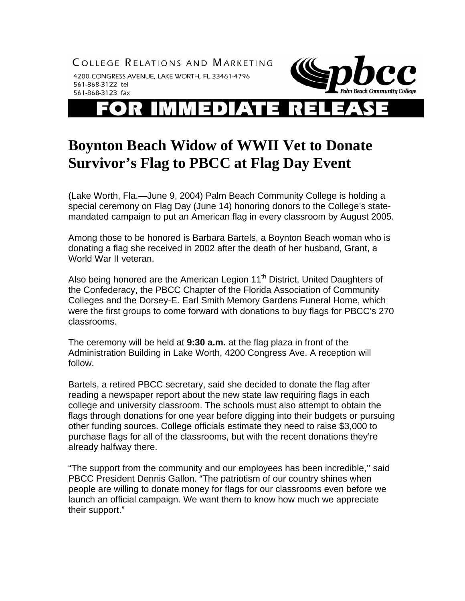COLLEGE RELATIONS AND MARKETING

4200 CONGRESS AVENUE, LAKE WORTH, FL 33461-4796 561-868-3122 tel 561-868-3123 fax



**R** Ξ  $\mathbf{L}$ 

## **Boynton Beach Widow of WWII Vet to Donate Survivor's Flag to PBCC at Flag Day Event**

(Lake Worth, Fla.—June 9, 2004) Palm Beach Community College is holding a special ceremony on Flag Day (June 14) honoring donors to the College's statemandated campaign to put an American flag in every classroom by August 2005.

Among those to be honored is Barbara Bartels, a Boynton Beach woman who is donating a flag she received in 2002 after the death of her husband, Grant, a World War II veteran.

Also being honored are the American Legion 11<sup>th</sup> District, United Daughters of the Confederacy, the PBCC Chapter of the Florida Association of Community Colleges and the Dorsey-E. Earl Smith Memory Gardens Funeral Home, which were the first groups to come forward with donations to buy flags for PBCC's 270 classrooms.

The ceremony will be held at **9:30 a.m.** at the flag plaza in front of the Administration Building in Lake Worth, 4200 Congress Ave. A reception will follow.

Bartels, a retired PBCC secretary, said she decided to donate the flag after reading a newspaper report about the new state law requiring flags in each college and university classroom. The schools must also attempt to obtain the flags through donations for one year before digging into their budgets or pursuing other funding sources. College officials estimate they need to raise \$3,000 to purchase flags for all of the classrooms, but with the recent donations they're already halfway there.

"The support from the community and our employees has been incredible,'' said PBCC President Dennis Gallon. "The patriotism of our country shines when people are willing to donate money for flags for our classrooms even before we launch an official campaign. We want them to know how much we appreciate their support."